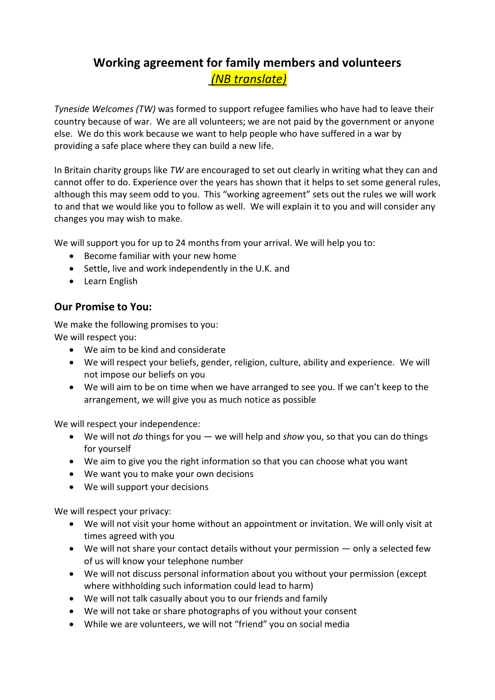## **Working agreement for family members and volunteers** *(NB translate)*

*Tyneside Welcomes (TW)* was formed to support refugee families who have had to leave their country because of war. We are all volunteers; we are not paid by the government or anyone else. We do this work because we want to help people who have suffered in a war by providing a safe place where they can build a new life.

In Britain charity groups like *TW* are encouraged to set out clearly in writing what they can and cannot offer to do. Experience over the years has shown that it helps to set some general rules, although this may seem odd to you. This "working agreement" sets out the rules we will work to and that we would like you to follow as well. We will explain it to you and will consider any changes you may wish to make.

We will support you for up to 24 months from your arrival. We will help you to:

- Become familiar with your new home
- Settle, live and work independently in the U.K. and
- Learn English

## **Our Promise to You:**

We make the following promises to you: We will respect you:

- We aim to be kind and considerate
- We will respect your beliefs, gender, religion, culture, ability and experience. We will not impose our beliefs on you
- We will aim to be on time when we have arranged to see you. If we can't keep to the arrangement, we will give you as much notice as possible

We will respect your independence:

- We will not *do* things for you we will help and *show* you, so that you can do things for yourself
- We aim to give you the right information so that you can choose what you want
- We want you to make your own decisions
- We will support your decisions

We will respect your privacy:

- We will not visit your home without an appointment or invitation. We will only visit at times agreed with you
- We will not share your contact details without your permission only a selected few of us will know your telephone number
- We will not discuss personal information about you without your permission (except where withholding such information could lead to harm)
- We will not talk casually about you to our friends and family
- We will not take or share photographs of you without your consent
- While we are volunteers, we will not "friend" you on social media